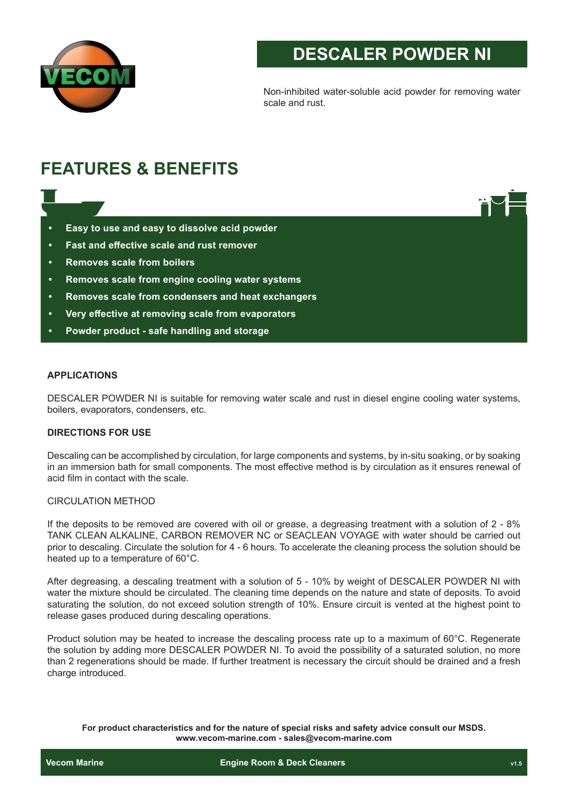

# **DESCALER POWDER NI**

Non-inhibited water-soluble acid powder for removing water scale and rust.

# **FEATURES & BENEFITS**

- **• Easy to use and easy to dissolve acid powder**
- **• Fast and effective scale and rust remover**
- **• Removes scale from boilers**
- **• Removes scale from engine cooling water systems**
- **• Removes scale from condensers and heat exchangers**
- **• Very effective at removing scale from evaporators**
- **• Powder product safe handling and storage**

## **APPLICATIONS**

DESCALER POWDER NI is suitable for removing water scale and rust in diesel engine cooling water systems, boilers, evaporators, condensers, etc.

#### **DIRECTIONS FOR USE**

Descaling can be accomplished by circulation, for large components and systems, by in-situ soaking, or by soaking in an immersion bath for small components. The most effective method is by circulation as it ensures renewal of acid film in contact with the scale.

## CIRCULATION METHOD

If the deposits to be removed are covered with oil or grease, a degreasing treatment with a solution of 2 - 8% TANK CLEAN ALKALINE, CARBON REMOVER NC or SEACLEAN VOYAGE with water should be carried out prior to descaling. Circulate the solution for 4 - 6 hours. To accelerate the cleaning process the solution should be heated up to a temperature of 60°C.

After degreasing, a descaling treatment with a solution of 5 - 10% by weight of DESCALER POWDER NI with water the mixture should be circulated. The cleaning time depends on the nature and state of deposits. To avoid saturating the solution, do not exceed solution strength of 10%. Ensure circuit is vented at the highest point to release gases produced during descaling operations.

Product solution may be heated to increase the descaling process rate up to a maximum of 60°C. Regenerate the solution by adding more DESCALER POWDER NI. To avoid the possibility of a saturated solution, no more than 2 regenerations should be made. If further treatment is necessary the circuit should be drained and a fresh charge introduced.

**For product characteristics and for the nature of special risks and safety advice consult our MSDS. www.vecom-marine.com - sales@vecom-marine.com**